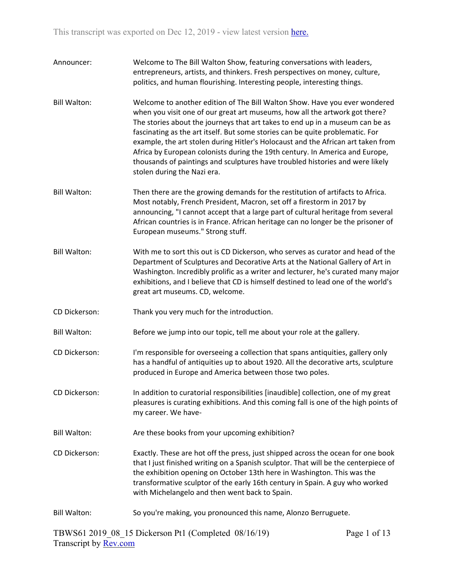| Announcer:          | Welcome to The Bill Walton Show, featuring conversations with leaders,<br>entrepreneurs, artists, and thinkers. Fresh perspectives on money, culture,<br>politics, and human flourishing. Interesting people, interesting things.                                                                                                                                                                                                                                                                                                                                                                               |
|---------------------|-----------------------------------------------------------------------------------------------------------------------------------------------------------------------------------------------------------------------------------------------------------------------------------------------------------------------------------------------------------------------------------------------------------------------------------------------------------------------------------------------------------------------------------------------------------------------------------------------------------------|
| <b>Bill Walton:</b> | Welcome to another edition of The Bill Walton Show. Have you ever wondered<br>when you visit one of our great art museums, how all the artwork got there?<br>The stories about the journeys that art takes to end up in a museum can be as<br>fascinating as the art itself. But some stories can be quite problematic. For<br>example, the art stolen during Hitler's Holocaust and the African art taken from<br>Africa by European colonists during the 19th century. In America and Europe,<br>thousands of paintings and sculptures have troubled histories and were likely<br>stolen during the Nazi era. |
| <b>Bill Walton:</b> | Then there are the growing demands for the restitution of artifacts to Africa.<br>Most notably, French President, Macron, set off a firestorm in 2017 by<br>announcing, "I cannot accept that a large part of cultural heritage from several<br>African countries is in France. African heritage can no longer be the prisoner of<br>European museums." Strong stuff.                                                                                                                                                                                                                                           |
| <b>Bill Walton:</b> | With me to sort this out is CD Dickerson, who serves as curator and head of the<br>Department of Sculptures and Decorative Arts at the National Gallery of Art in<br>Washington. Incredibly prolific as a writer and lecturer, he's curated many major<br>exhibitions, and I believe that CD is himself destined to lead one of the world's<br>great art museums. CD, welcome.                                                                                                                                                                                                                                  |
| CD Dickerson:       | Thank you very much for the introduction.                                                                                                                                                                                                                                                                                                                                                                                                                                                                                                                                                                       |
| <b>Bill Walton:</b> | Before we jump into our topic, tell me about your role at the gallery.                                                                                                                                                                                                                                                                                                                                                                                                                                                                                                                                          |
| CD Dickerson:       | I'm responsible for overseeing a collection that spans antiquities, gallery only<br>has a handful of antiquities up to about 1920. All the decorative arts, sculpture<br>produced in Europe and America between those two poles.                                                                                                                                                                                                                                                                                                                                                                                |
| CD Dickerson:       | In addition to curatorial responsibilities [inaudible] collection, one of my great<br>pleasures is curating exhibitions. And this coming fall is one of the high points of<br>my career. We have-                                                                                                                                                                                                                                                                                                                                                                                                               |
| <b>Bill Walton:</b> | Are these books from your upcoming exhibition?                                                                                                                                                                                                                                                                                                                                                                                                                                                                                                                                                                  |
| CD Dickerson:       | Exactly. These are hot off the press, just shipped across the ocean for one book<br>that I just finished writing on a Spanish sculptor. That will be the centerpiece of<br>the exhibition opening on October 13th here in Washington. This was the<br>transformative sculptor of the early 16th century in Spain. A guy who worked<br>with Michelangelo and then went back to Spain.                                                                                                                                                                                                                            |
| <b>Bill Walton:</b> | So you're making, you pronounced this name, Alonzo Berruguete.                                                                                                                                                                                                                                                                                                                                                                                                                                                                                                                                                  |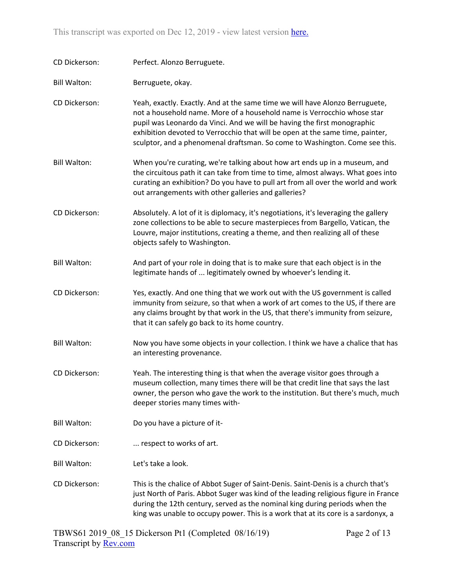This transcript was exported on Dec 12, 2019 - view latest version [here](https://www.rev.com/transcript-editor/Edit?token=FTL-om9KSaH6E0y3WcLt5cuR3rUKuqSrubpvhGl5T8YGqD8z3gWcb5RL5xDRVRLOx2HcZF04xLFHixLp7-8u8ZR058Y&loadFrom=DocumentHeaderDeepLink).

| CD Dickerson:       | Perfect. Alonzo Berruguete.                                                                                                                                                                                                                                                                                                                                                                         |
|---------------------|-----------------------------------------------------------------------------------------------------------------------------------------------------------------------------------------------------------------------------------------------------------------------------------------------------------------------------------------------------------------------------------------------------|
| <b>Bill Walton:</b> | Berruguete, okay.                                                                                                                                                                                                                                                                                                                                                                                   |
| CD Dickerson:       | Yeah, exactly. Exactly. And at the same time we will have Alonzo Berruguete,<br>not a household name. More of a household name is Verrocchio whose star<br>pupil was Leonardo da Vinci. And we will be having the first monographic<br>exhibition devoted to Verrocchio that will be open at the same time, painter,<br>sculptor, and a phenomenal draftsman. So come to Washington. Come see this. |
| <b>Bill Walton:</b> | When you're curating, we're talking about how art ends up in a museum, and<br>the circuitous path it can take from time to time, almost always. What goes into<br>curating an exhibition? Do you have to pull art from all over the world and work<br>out arrangements with other galleries and galleries?                                                                                          |
| CD Dickerson:       | Absolutely. A lot of it is diplomacy, it's negotiations, it's leveraging the gallery<br>zone collections to be able to secure masterpieces from Bargello, Vatican, the<br>Louvre, major institutions, creating a theme, and then realizing all of these<br>objects safely to Washington.                                                                                                            |
| <b>Bill Walton:</b> | And part of your role in doing that is to make sure that each object is in the<br>legitimate hands of  legitimately owned by whoever's lending it.                                                                                                                                                                                                                                                  |
| CD Dickerson:       | Yes, exactly. And one thing that we work out with the US government is called<br>immunity from seizure, so that when a work of art comes to the US, if there are<br>any claims brought by that work in the US, that there's immunity from seizure,<br>that it can safely go back to its home country.                                                                                               |
| <b>Bill Walton:</b> | Now you have some objects in your collection. I think we have a chalice that has<br>an interesting provenance.                                                                                                                                                                                                                                                                                      |
| CD Dickerson:       | Yeah. The interesting thing is that when the average visitor goes through a<br>museum collection, many times there will be that credit line that says the last<br>owner, the person who gave the work to the institution. But there's much, much<br>deeper stories many times with-                                                                                                                 |
| <b>Bill Walton:</b> | Do you have a picture of it-                                                                                                                                                                                                                                                                                                                                                                        |
| CD Dickerson:       | respect to works of art.                                                                                                                                                                                                                                                                                                                                                                            |
| <b>Bill Walton:</b> | Let's take a look.                                                                                                                                                                                                                                                                                                                                                                                  |
| CD Dickerson:       | This is the chalice of Abbot Suger of Saint-Denis. Saint-Denis is a church that's<br>just North of Paris. Abbot Suger was kind of the leading religious figure in France<br>during the 12th century, served as the nominal king during periods when the<br>king was unable to occupy power. This is a work that at its core is a sardonyx, a                                                        |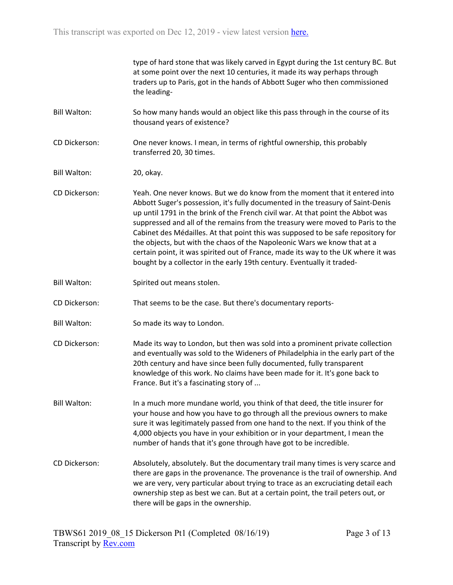|                     | type of hard stone that was likely carved in Egypt during the 1st century BC. But<br>at some point over the next 10 centuries, it made its way perhaps through<br>traders up to Paris, got in the hands of Abbott Suger who then commissioned<br>the leading-                                                                                                                                                                                                                                                                                                                                                                                                     |
|---------------------|-------------------------------------------------------------------------------------------------------------------------------------------------------------------------------------------------------------------------------------------------------------------------------------------------------------------------------------------------------------------------------------------------------------------------------------------------------------------------------------------------------------------------------------------------------------------------------------------------------------------------------------------------------------------|
| <b>Bill Walton:</b> | So how many hands would an object like this pass through in the course of its<br>thousand years of existence?                                                                                                                                                                                                                                                                                                                                                                                                                                                                                                                                                     |
| CD Dickerson:       | One never knows. I mean, in terms of rightful ownership, this probably<br>transferred 20, 30 times.                                                                                                                                                                                                                                                                                                                                                                                                                                                                                                                                                               |
| <b>Bill Walton:</b> | 20, okay.                                                                                                                                                                                                                                                                                                                                                                                                                                                                                                                                                                                                                                                         |
| CD Dickerson:       | Yeah. One never knows. But we do know from the moment that it entered into<br>Abbott Suger's possession, it's fully documented in the treasury of Saint-Denis<br>up until 1791 in the brink of the French civil war. At that point the Abbot was<br>suppressed and all of the remains from the treasury were moved to Paris to the<br>Cabinet des Médailles. At that point this was supposed to be safe repository for<br>the objects, but with the chaos of the Napoleonic Wars we know that at a<br>certain point, it was spirited out of France, made its way to the UK where it was<br>bought by a collector in the early 19th century. Eventually it traded- |
| <b>Bill Walton:</b> | Spirited out means stolen.                                                                                                                                                                                                                                                                                                                                                                                                                                                                                                                                                                                                                                        |
| CD Dickerson:       | That seems to be the case. But there's documentary reports-                                                                                                                                                                                                                                                                                                                                                                                                                                                                                                                                                                                                       |
| <b>Bill Walton:</b> | So made its way to London.                                                                                                                                                                                                                                                                                                                                                                                                                                                                                                                                                                                                                                        |
| CD Dickerson:       | Made its way to London, but then was sold into a prominent private collection<br>and eventually was sold to the Wideners of Philadelphia in the early part of the<br>20th century and have since been fully documented, fully transparent<br>knowledge of this work. No claims have been made for it. It's gone back to<br>France. But it's a fascinating story of                                                                                                                                                                                                                                                                                                |
| <b>Bill Walton:</b> | In a much more mundane world, you think of that deed, the title insurer for<br>your house and how you have to go through all the previous owners to make<br>sure it was legitimately passed from one hand to the next. If you think of the<br>4,000 objects you have in your exhibition or in your department, I mean the<br>number of hands that it's gone through have got to be incredible.                                                                                                                                                                                                                                                                    |
| CD Dickerson:       | Absolutely, absolutely. But the documentary trail many times is very scarce and<br>there are gaps in the provenance. The provenance is the trail of ownership. And<br>we are very, very particular about trying to trace as an excruciating detail each<br>ownership step as best we can. But at a certain point, the trail peters out, or<br>there will be gaps in the ownership.                                                                                                                                                                                                                                                                                |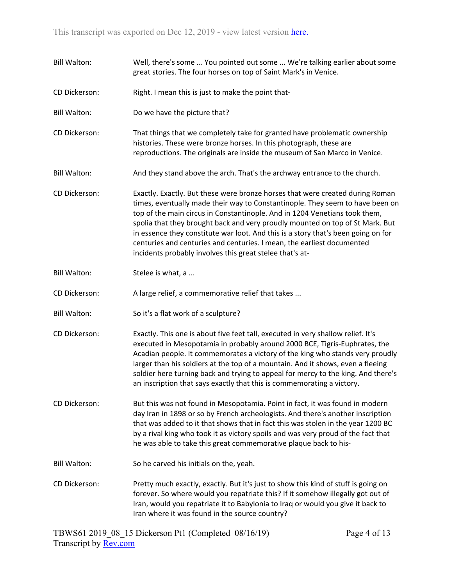Bill Walton: Well, there's some ... You pointed out some ... We're talking earlier about some great stories. The four horses on top of Saint Mark's in Venice. CD Dickerson: Right. I mean this is just to make the point that-Bill Walton: Do we have the picture that? CD Dickerson: That things that we completely take for granted have problematic ownership histories. These were bronze horses. In this photograph, these are reproductions. The originals are inside the museum of San Marco in Venice. Bill Walton: And they stand above the arch. That's the archway entrance to the church. CD Dickerson: Exactly. Exactly. But these were bronze horses that were created during Roman times, eventually made their way to Constantinople. They seem to have been on top of the main circus in Constantinople. And in 1204 Venetians took them, spolia that they brought back and very proudly mounted on top of St Mark. But in essence they constitute war loot. And this is a story that's been going on for centuries and centuries and centuries. I mean, the earliest documented incidents probably involves this great stelee that's at-Bill Walton: Stelee is what, a ... CD Dickerson: A large relief, a commemorative relief that takes ... Bill Walton: So it's a flat work of a sculpture? CD Dickerson: Exactly. This one is about five feet tall, executed in very shallow relief. It's executed in Mesopotamia in probably around 2000 BCE, Tigris-Euphrates, the Acadian people. It commemorates a victory of the king who stands very proudly larger than his soldiers at the top of a mountain. And it shows, even a fleeing soldier here turning back and trying to appeal for mercy to the king. And there's an inscription that says exactly that this is commemorating a victory. CD Dickerson: But this was not found in Mesopotamia. Point in fact, it was found in modern day Iran in 1898 or so by French archeologists. And there's another inscription that was added to it that shows that in fact this was stolen in the year 1200 BC by a rival king who took it as victory spoils and was very proud of the fact that he was able to take this great commemorative plaque back to his-Bill Walton: So he carved his initials on the, yeah. CD Dickerson: Pretty much exactly, exactly. But it's just to show this kind of stuff is going on forever. So where would you repatriate this? If it somehow illegally got out of Iran, would you repatriate it to Babylonia to Iraq or would you give it back to Iran where it was found in the source country?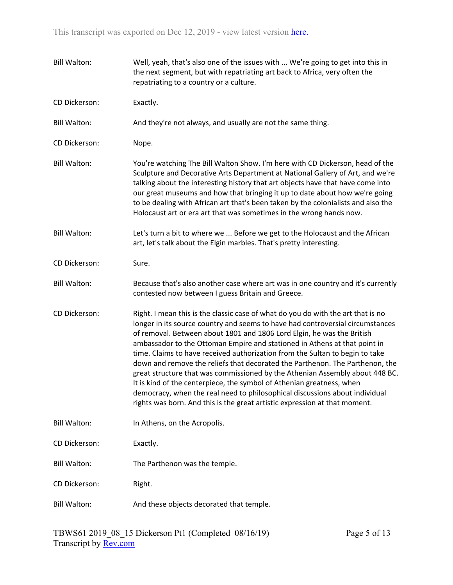| <b>Bill Walton:</b> | Well, yeah, that's also one of the issues with  We're going to get into this in<br>the next segment, but with repatriating art back to Africa, very often the<br>repatriating to a country or a culture.                                                                                                                                                                                                                                                                                                                                                                                                                                                                                                                                                                                                        |
|---------------------|-----------------------------------------------------------------------------------------------------------------------------------------------------------------------------------------------------------------------------------------------------------------------------------------------------------------------------------------------------------------------------------------------------------------------------------------------------------------------------------------------------------------------------------------------------------------------------------------------------------------------------------------------------------------------------------------------------------------------------------------------------------------------------------------------------------------|
| CD Dickerson:       | Exactly.                                                                                                                                                                                                                                                                                                                                                                                                                                                                                                                                                                                                                                                                                                                                                                                                        |
| <b>Bill Walton:</b> | And they're not always, and usually are not the same thing.                                                                                                                                                                                                                                                                                                                                                                                                                                                                                                                                                                                                                                                                                                                                                     |
| CD Dickerson:       | Nope.                                                                                                                                                                                                                                                                                                                                                                                                                                                                                                                                                                                                                                                                                                                                                                                                           |
| <b>Bill Walton:</b> | You're watching The Bill Walton Show. I'm here with CD Dickerson, head of the<br>Sculpture and Decorative Arts Department at National Gallery of Art, and we're<br>talking about the interesting history that art objects have that have come into<br>our great museums and how that bringing it up to date about how we're going<br>to be dealing with African art that's been taken by the colonialists and also the<br>Holocaust art or era art that was sometimes in the wrong hands now.                                                                                                                                                                                                                                                                                                                   |
| <b>Bill Walton:</b> | Let's turn a bit to where we  Before we get to the Holocaust and the African<br>art, let's talk about the Elgin marbles. That's pretty interesting.                                                                                                                                                                                                                                                                                                                                                                                                                                                                                                                                                                                                                                                             |
| CD Dickerson:       | Sure.                                                                                                                                                                                                                                                                                                                                                                                                                                                                                                                                                                                                                                                                                                                                                                                                           |
| <b>Bill Walton:</b> | Because that's also another case where art was in one country and it's currently<br>contested now between I guess Britain and Greece.                                                                                                                                                                                                                                                                                                                                                                                                                                                                                                                                                                                                                                                                           |
| CD Dickerson:       | Right. I mean this is the classic case of what do you do with the art that is no<br>longer in its source country and seems to have had controversial circumstances<br>of removal. Between about 1801 and 1806 Lord Elgin, he was the British<br>ambassador to the Ottoman Empire and stationed in Athens at that point in<br>time. Claims to have received authorization from the Sultan to begin to take<br>down and remove the reliefs that decorated the Parthenon. The Parthenon, the<br>great structure that was commissioned by the Athenian Assembly about 448 BC.<br>It is kind of the centerpiece, the symbol of Athenian greatness, when<br>democracy, when the real need to philosophical discussions about individual<br>rights was born. And this is the great artistic expression at that moment. |
| <b>Bill Walton:</b> | In Athens, on the Acropolis.                                                                                                                                                                                                                                                                                                                                                                                                                                                                                                                                                                                                                                                                                                                                                                                    |
| CD Dickerson:       | Exactly.                                                                                                                                                                                                                                                                                                                                                                                                                                                                                                                                                                                                                                                                                                                                                                                                        |
| <b>Bill Walton:</b> | The Parthenon was the temple.                                                                                                                                                                                                                                                                                                                                                                                                                                                                                                                                                                                                                                                                                                                                                                                   |
| CD Dickerson:       | Right.                                                                                                                                                                                                                                                                                                                                                                                                                                                                                                                                                                                                                                                                                                                                                                                                          |
| <b>Bill Walton:</b> | And these objects decorated that temple.                                                                                                                                                                                                                                                                                                                                                                                                                                                                                                                                                                                                                                                                                                                                                                        |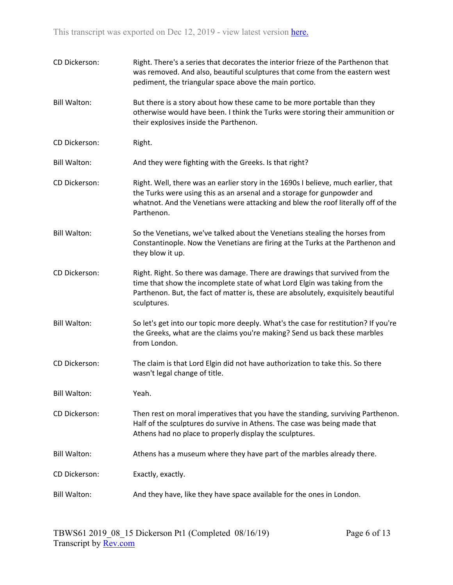| CD Dickerson:       | Right. There's a series that decorates the interior frieze of the Parthenon that<br>was removed. And also, beautiful sculptures that come from the eastern west<br>pediment, the triangular space above the main portico.                                       |
|---------------------|-----------------------------------------------------------------------------------------------------------------------------------------------------------------------------------------------------------------------------------------------------------------|
| <b>Bill Walton:</b> | But there is a story about how these came to be more portable than they<br>otherwise would have been. I think the Turks were storing their ammunition or<br>their explosives inside the Parthenon.                                                              |
| CD Dickerson:       | Right.                                                                                                                                                                                                                                                          |
| <b>Bill Walton:</b> | And they were fighting with the Greeks. Is that right?                                                                                                                                                                                                          |
| CD Dickerson:       | Right. Well, there was an earlier story in the 1690s I believe, much earlier, that<br>the Turks were using this as an arsenal and a storage for gunpowder and<br>whatnot. And the Venetians were attacking and blew the roof literally off of the<br>Parthenon. |
| <b>Bill Walton:</b> | So the Venetians, we've talked about the Venetians stealing the horses from<br>Constantinople. Now the Venetians are firing at the Turks at the Parthenon and<br>they blow it up.                                                                               |
| CD Dickerson:       | Right. Right. So there was damage. There are drawings that survived from the<br>time that show the incomplete state of what Lord Elgin was taking from the<br>Parthenon. But, the fact of matter is, these are absolutely, exquisitely beautiful<br>sculptures. |
| <b>Bill Walton:</b> | So let's get into our topic more deeply. What's the case for restitution? If you're<br>the Greeks, what are the claims you're making? Send us back these marbles<br>from London.                                                                                |
| CD Dickerson:       | The claim is that Lord Elgin did not have authorization to take this. So there<br>wasn't legal change of title.                                                                                                                                                 |
| <b>Bill Walton:</b> | Yeah.                                                                                                                                                                                                                                                           |
| CD Dickerson:       | Then rest on moral imperatives that you have the standing, surviving Parthenon.<br>Half of the sculptures do survive in Athens. The case was being made that<br>Athens had no place to properly display the sculptures.                                         |
| <b>Bill Walton:</b> | Athens has a museum where they have part of the marbles already there.                                                                                                                                                                                          |
| CD Dickerson:       | Exactly, exactly.                                                                                                                                                                                                                                               |
| <b>Bill Walton:</b> | And they have, like they have space available for the ones in London.                                                                                                                                                                                           |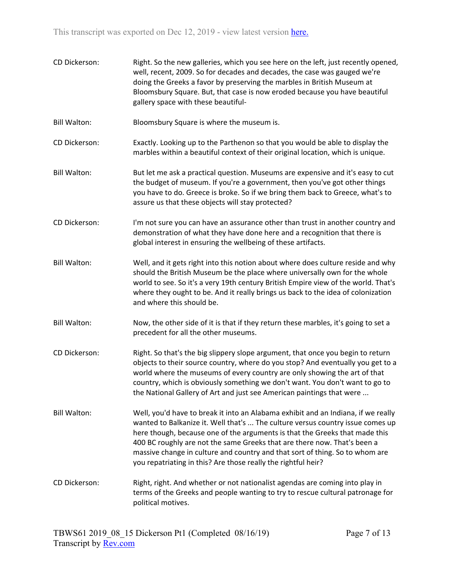CD Dickerson: Right. So the new galleries, which you see here on the left, just recently opened, well, recent, 2009. So for decades and decades, the case was gauged we're doing the Greeks a favor by preserving the marbles in British Museum at Bloomsbury Square. But, that case is now eroded because you have beautiful gallery space with these beautiful-Bill Walton: Bloomsbury Square is where the museum is. CD Dickerson: Exactly. Looking up to the Parthenon so that you would be able to display the marbles within a beautiful context of their original location, which is unique. Bill Walton: But let me ask a practical question. Museums are expensive and it's easy to cut the budget of museum. If you're a government, then you've got other things you have to do. Greece is broke. So if we bring them back to Greece, what's to assure us that these objects will stay protected? CD Dickerson: I'm not sure you can have an assurance other than trust in another country and demonstration of what they have done here and a recognition that there is global interest in ensuring the wellbeing of these artifacts. Bill Walton: Well, and it gets right into this notion about where does culture reside and why should the British Museum be the place where universally own for the whole world to see. So it's a very 19th century British Empire view of the world. That's where they ought to be. And it really brings us back to the idea of colonization and where this should be. Bill Walton: Now, the other side of it is that if they return these marbles, it's going to set a precedent for all the other museums. CD Dickerson: Right. So that's the big slippery slope argument, that once you begin to return objects to their source country, where do you stop? And eventually you get to a world where the museums of every country are only showing the art of that country, which is obviously something we don't want. You don't want to go to the National Gallery of Art and just see American paintings that were ... Bill Walton: Well, you'd have to break it into an Alabama exhibit and an Indiana, if we really wanted to Balkanize it. Well that's ... The culture versus country issue comes up here though, because one of the arguments is that the Greeks that made this 400 BC roughly are not the same Greeks that are there now. That's been a massive change in culture and country and that sort of thing. So to whom are you repatriating in this? Are those really the rightful heir? CD Dickerson: Right, right. And whether or not nationalist agendas are coming into play in terms of the Greeks and people wanting to try to rescue cultural patronage for political motives.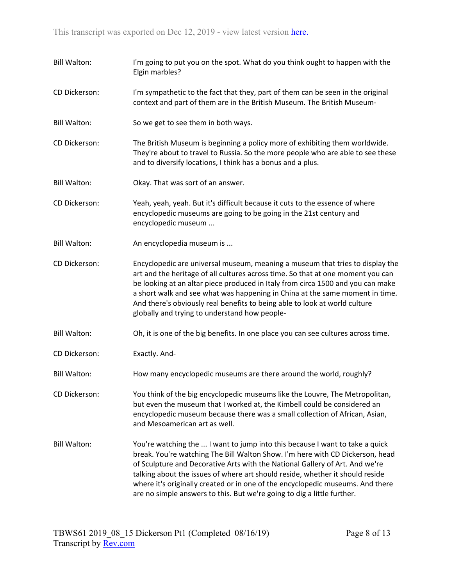- Bill Walton: I'm going to put you on the spot. What do you think ought to happen with the Elgin marbles?
- CD Dickerson: I'm sympathetic to the fact that they, part of them can be seen in the original context and part of them are in the British Museum. The British Museum-
- Bill Walton: So we get to see them in both ways.
- CD Dickerson: The British Museum is beginning a policy more of exhibiting them worldwide. They're about to travel to Russia. So the more people who are able to see these and to diversify locations, I think has a bonus and a plus.
- Bill Walton: Okay. That was sort of an answer.
- CD Dickerson: Yeah, yeah, yeah. But it's difficult because it cuts to the essence of where encyclopedic museums are going to be going in the 21st century and encyclopedic museum ...
- Bill Walton: An encyclopedia museum is ...
- CD Dickerson: Encyclopedic are universal museum, meaning a museum that tries to display the art and the heritage of all cultures across time. So that at one moment you can be looking at an altar piece produced in Italy from circa 1500 and you can make a short walk and see what was happening in China at the same moment in time. And there's obviously real benefits to being able to look at world culture globally and trying to understand how people-
- Bill Walton: Oh, it is one of the big benefits. In one place you can see cultures across time.
- CD Dickerson: Exactly. And-
- Bill Walton: How many encyclopedic museums are there around the world, roughly?
- CD Dickerson: You think of the big encyclopedic museums like the Louvre, The Metropolitan, but even the museum that I worked at, the Kimbell could be considered an encyclopedic museum because there was a small collection of African, Asian, and Mesoamerican art as well.
- Bill Walton: You're watching the ... I want to jump into this because I want to take a quick break. You're watching The Bill Walton Show. I'm here with CD Dickerson, head of Sculpture and Decorative Arts with the National Gallery of Art. And we're talking about the issues of where art should reside, whether it should reside where it's originally created or in one of the encyclopedic museums. And there are no simple answers to this. But we're going to dig a little further.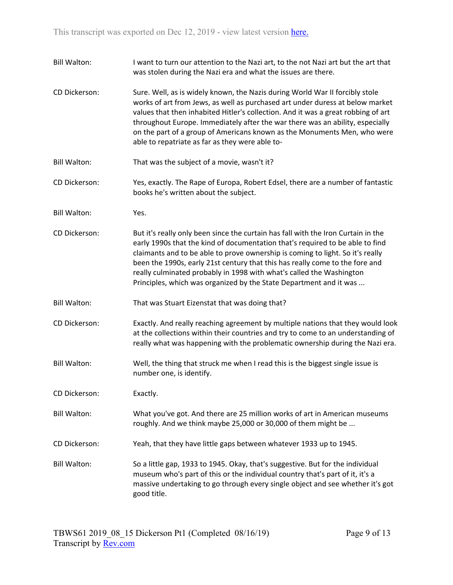Bill Walton: I want to turn our attention to the Nazi art, to the not Nazi art but the art that was stolen during the Nazi era and what the issues are there. CD Dickerson: Sure. Well, as is widely known, the Nazis during World War II forcibly stole works of art from Jews, as well as purchased art under duress at below market values that then inhabited Hitler's collection. And it was a great robbing of art throughout Europe. Immediately after the war there was an ability, especially on the part of a group of Americans known as the Monuments Men, who were able to repatriate as far as they were able to-Bill Walton: That was the subject of a movie, wasn't it? CD Dickerson: Yes, exactly. The Rape of Europa, Robert Edsel, there are a number of fantastic books he's written about the subject. Bill Walton: Yes. CD Dickerson: But it's really only been since the curtain has fall with the Iron Curtain in the early 1990s that the kind of documentation that's required to be able to find claimants and to be able to prove ownership is coming to light. So it's really been the 1990s, early 21st century that this has really come to the fore and really culminated probably in 1998 with what's called the Washington Principles, which was organized by the State Department and it was ... Bill Walton: That was Stuart Eizenstat that was doing that? CD Dickerson: Exactly. And really reaching agreement by multiple nations that they would look at the collections within their countries and try to come to an understanding of really what was happening with the problematic ownership during the Nazi era. Bill Walton: Well, the thing that struck me when I read this is the biggest single issue is number one, is identify. CD Dickerson: Exactly. Bill Walton: What you've got. And there are 25 million works of art in American museums roughly. And we think maybe 25,000 or 30,000 of them might be ... CD Dickerson: Yeah, that they have little gaps between whatever 1933 up to 1945. Bill Walton: So a little gap, 1933 to 1945. Okay, that's suggestive. But for the individual museum who's part of this or the individual country that's part of it, it's a massive undertaking to go through every single object and see whether it's got good title.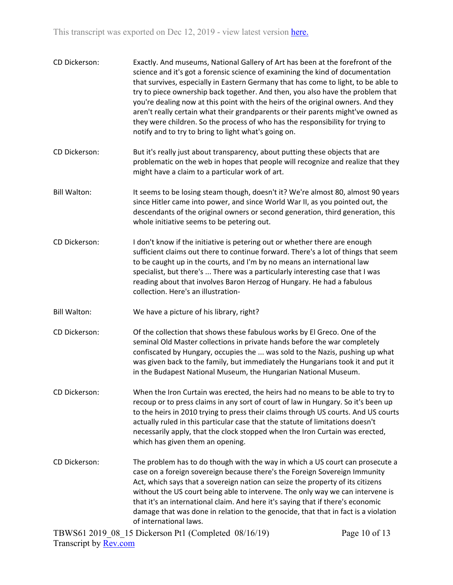| CD Dickerson:       | notify and to try to bring to light what's going on.                                                                                                                                                                                                                   | Exactly. And museums, National Gallery of Art has been at the forefront of the<br>science and it's got a forensic science of examining the kind of documentation<br>that survives, especially in Eastern Germany that has come to light, to be able to<br>try to piece ownership back together. And then, you also have the problem that<br>you're dealing now at this point with the heirs of the original owners. And they<br>aren't really certain what their grandparents or their parents might've owned as<br>they were children. So the process of who has the responsibility for trying to |
|---------------------|------------------------------------------------------------------------------------------------------------------------------------------------------------------------------------------------------------------------------------------------------------------------|----------------------------------------------------------------------------------------------------------------------------------------------------------------------------------------------------------------------------------------------------------------------------------------------------------------------------------------------------------------------------------------------------------------------------------------------------------------------------------------------------------------------------------------------------------------------------------------------------|
| CD Dickerson:       | But it's really just about transparency, about putting these objects that are<br>might have a claim to a particular work of art.                                                                                                                                       | problematic on the web in hopes that people will recognize and realize that they                                                                                                                                                                                                                                                                                                                                                                                                                                                                                                                   |
| <b>Bill Walton:</b> | whole initiative seems to be petering out.                                                                                                                                                                                                                             | It seems to be losing steam though, doesn't it? We're almost 80, almost 90 years<br>since Hitler came into power, and since World War II, as you pointed out, the<br>descendants of the original owners or second generation, third generation, this                                                                                                                                                                                                                                                                                                                                               |
| CD Dickerson:       | I don't know if the initiative is petering out or whether there are enough<br>to be caught up in the courts, and I'm by no means an international law<br>reading about that involves Baron Herzog of Hungary. He had a fabulous<br>collection. Here's an illustration- | sufficient claims out there to continue forward. There's a lot of things that seem<br>specialist, but there's  There was a particularly interesting case that I was                                                                                                                                                                                                                                                                                                                                                                                                                                |
| <b>Bill Walton:</b> | We have a picture of his library, right?                                                                                                                                                                                                                               |                                                                                                                                                                                                                                                                                                                                                                                                                                                                                                                                                                                                    |
| CD Dickerson:       | Of the collection that shows these fabulous works by El Greco. One of the<br>seminal Old Master collections in private hands before the war completely<br>in the Budapest National Museum, the Hungarian National Museum.                                              | confiscated by Hungary, occupies the  was sold to the Nazis, pushing up what<br>was given back to the family, but immediately the Hungarians took it and put it                                                                                                                                                                                                                                                                                                                                                                                                                                    |
| CD Dickerson:       | actually ruled in this particular case that the statute of limitations doesn't<br>which has given them an opening.                                                                                                                                                     | When the Iron Curtain was erected, the heirs had no means to be able to try to<br>recoup or to press claims in any sort of court of law in Hungary. So it's been up<br>to the heirs in 2010 trying to press their claims through US courts. And US courts<br>necessarily apply, that the clock stopped when the Iron Curtain was erected,                                                                                                                                                                                                                                                          |
| CD Dickerson:       | of international laws.                                                                                                                                                                                                                                                 | The problem has to do though with the way in which a US court can prosecute a<br>case on a foreign sovereign because there's the Foreign Sovereign Immunity<br>Act, which says that a sovereign nation can seize the property of its citizens<br>without the US court being able to intervene. The only way we can intervene is<br>that it's an international claim. And here it's saying that if there's economic<br>damage that was done in relation to the genocide, that that in fact is a violation                                                                                           |
|                     | TDW861.2010.08.15 Dickorson Pt1 (Completed, 08/16/10)                                                                                                                                                                                                                  | $D_{0.02}$ 10 of 12                                                                                                                                                                                                                                                                                                                                                                                                                                                                                                                                                                                |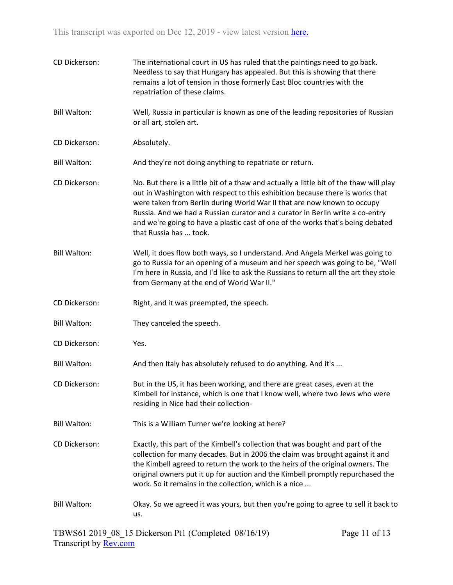| CD Dickerson:       | The international court in US has ruled that the paintings need to go back.<br>Needless to say that Hungary has appealed. But this is showing that there<br>remains a lot of tension in those formerly East Bloc countries with the<br>repatriation of these claims.                                                                                                                                                                              |
|---------------------|---------------------------------------------------------------------------------------------------------------------------------------------------------------------------------------------------------------------------------------------------------------------------------------------------------------------------------------------------------------------------------------------------------------------------------------------------|
| <b>Bill Walton:</b> | Well, Russia in particular is known as one of the leading repositories of Russian<br>or all art, stolen art.                                                                                                                                                                                                                                                                                                                                      |
| CD Dickerson:       | Absolutely.                                                                                                                                                                                                                                                                                                                                                                                                                                       |
| <b>Bill Walton:</b> | And they're not doing anything to repatriate or return.                                                                                                                                                                                                                                                                                                                                                                                           |
| CD Dickerson:       | No. But there is a little bit of a thaw and actually a little bit of the thaw will play<br>out in Washington with respect to this exhibition because there is works that<br>were taken from Berlin during World War II that are now known to occupy<br>Russia. And we had a Russian curator and a curator in Berlin write a co-entry<br>and we're going to have a plastic cast of one of the works that's being debated<br>that Russia has  took. |
| <b>Bill Walton:</b> | Well, it does flow both ways, so I understand. And Angela Merkel was going to<br>go to Russia for an opening of a museum and her speech was going to be, "Well<br>I'm here in Russia, and I'd like to ask the Russians to return all the art they stole<br>from Germany at the end of World War II."                                                                                                                                              |
| CD Dickerson:       | Right, and it was preempted, the speech.                                                                                                                                                                                                                                                                                                                                                                                                          |
| <b>Bill Walton:</b> | They canceled the speech.                                                                                                                                                                                                                                                                                                                                                                                                                         |
| CD Dickerson:       | Yes.                                                                                                                                                                                                                                                                                                                                                                                                                                              |
| <b>Bill Walton:</b> | And then Italy has absolutely refused to do anything. And it's                                                                                                                                                                                                                                                                                                                                                                                    |
| CD Dickerson:       | But in the US, it has been working, and there are great cases, even at the<br>Kimbell for instance, which is one that I know well, where two Jews who were<br>residing in Nice had their collection-                                                                                                                                                                                                                                              |
| <b>Bill Walton:</b> | This is a William Turner we're looking at here?                                                                                                                                                                                                                                                                                                                                                                                                   |
| CD Dickerson:       | Exactly, this part of the Kimbell's collection that was bought and part of the<br>collection for many decades. But in 2006 the claim was brought against it and<br>the Kimbell agreed to return the work to the heirs of the original owners. The<br>original owners put it up for auction and the Kimbell promptly repurchased the<br>work. So it remains in the collection, which is a nice                                                     |
| <b>Bill Walton:</b> | Okay. So we agreed it was yours, but then you're going to agree to sell it back to<br>us.                                                                                                                                                                                                                                                                                                                                                         |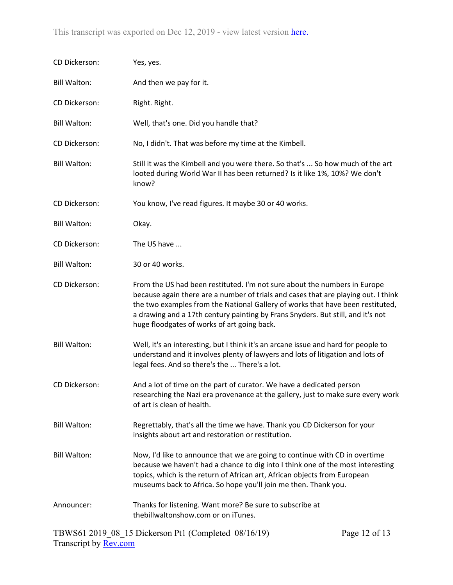| CD Dickerson:       | Yes, yes.                                                                                                                                                                                                                                                                                                                                                                           |
|---------------------|-------------------------------------------------------------------------------------------------------------------------------------------------------------------------------------------------------------------------------------------------------------------------------------------------------------------------------------------------------------------------------------|
| <b>Bill Walton:</b> | And then we pay for it.                                                                                                                                                                                                                                                                                                                                                             |
| CD Dickerson:       | Right. Right.                                                                                                                                                                                                                                                                                                                                                                       |
| <b>Bill Walton:</b> | Well, that's one. Did you handle that?                                                                                                                                                                                                                                                                                                                                              |
| CD Dickerson:       | No, I didn't. That was before my time at the Kimbell.                                                                                                                                                                                                                                                                                                                               |
| <b>Bill Walton:</b> | Still it was the Kimbell and you were there. So that's  So how much of the art<br>looted during World War II has been returned? Is it like 1%, 10%? We don't<br>know?                                                                                                                                                                                                               |
| CD Dickerson:       | You know, I've read figures. It maybe 30 or 40 works.                                                                                                                                                                                                                                                                                                                               |
| <b>Bill Walton:</b> | Okay.                                                                                                                                                                                                                                                                                                                                                                               |
| CD Dickerson:       | The US have                                                                                                                                                                                                                                                                                                                                                                         |
| <b>Bill Walton:</b> | 30 or 40 works.                                                                                                                                                                                                                                                                                                                                                                     |
| CD Dickerson:       | From the US had been restituted. I'm not sure about the numbers in Europe<br>because again there are a number of trials and cases that are playing out. I think<br>the two examples from the National Gallery of works that have been restituted,<br>a drawing and a 17th century painting by Frans Snyders. But still, and it's not<br>huge floodgates of works of art going back. |
| <b>Bill Walton:</b> | Well, it's an interesting, but I think it's an arcane issue and hard for people to<br>understand and it involves plenty of lawyers and lots of litigation and lots of<br>legal fees. And so there's the  There's a lot.                                                                                                                                                             |
| CD Dickerson:       | And a lot of time on the part of curator. We have a dedicated person<br>researching the Nazi era provenance at the gallery, just to make sure every work<br>of art is clean of health.                                                                                                                                                                                              |
| <b>Bill Walton:</b> | Regrettably, that's all the time we have. Thank you CD Dickerson for your<br>insights about art and restoration or restitution.                                                                                                                                                                                                                                                     |
| <b>Bill Walton:</b> | Now, I'd like to announce that we are going to continue with CD in overtime<br>because we haven't had a chance to dig into I think one of the most interesting<br>topics, which is the return of African art, African objects from European<br>museums back to Africa. So hope you'll join me then. Thank you.                                                                      |
| Announcer:          | Thanks for listening. Want more? Be sure to subscribe at<br>thebillwaltonshow.com or on iTunes.                                                                                                                                                                                                                                                                                     |